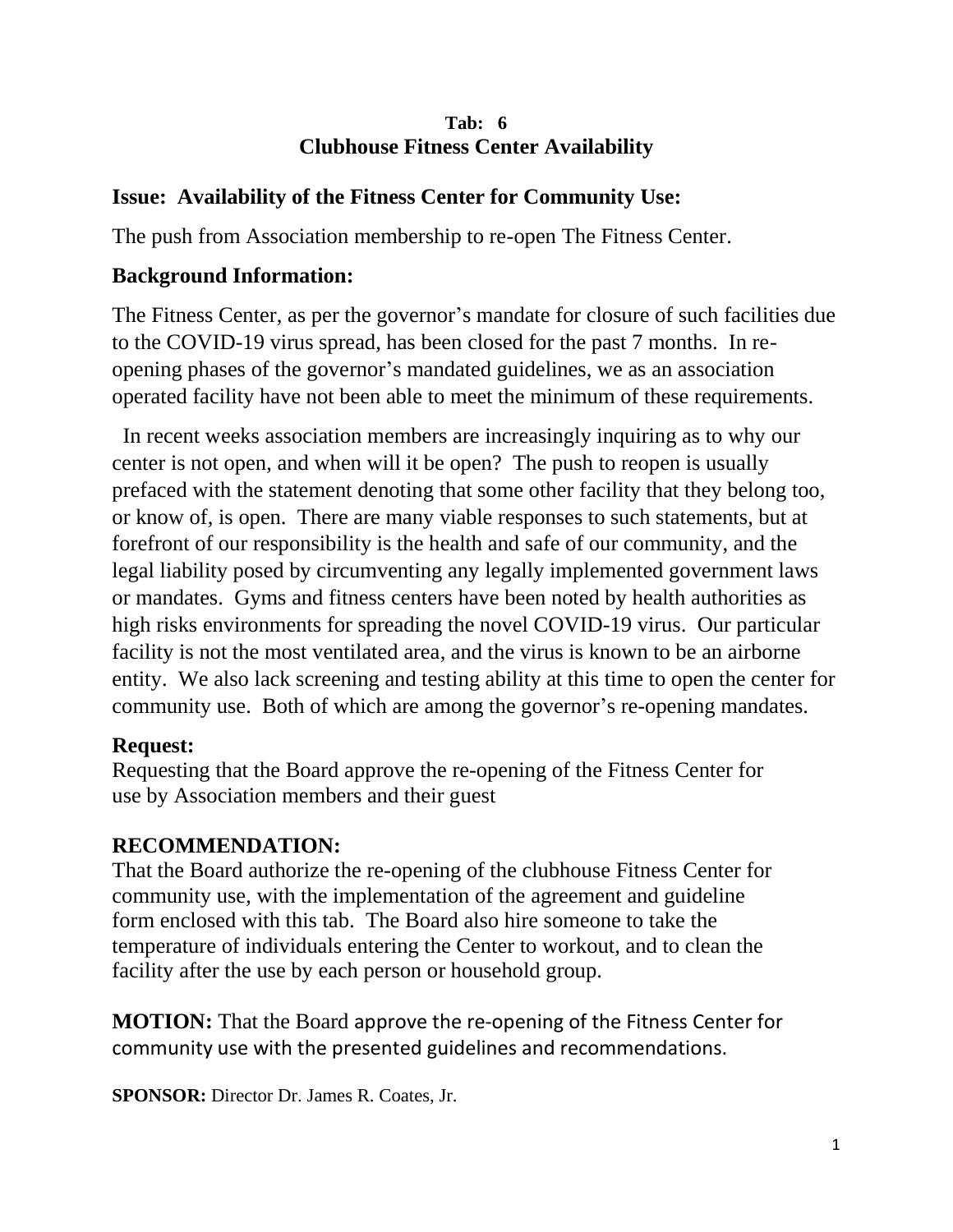#### **Tab: 6 Clubhouse Fitness Center Availability**

### **Issue: Availability of the Fitness Center for Community Use:**

The push from Association membership to re-open The Fitness Center.

### **Background Information:**

The Fitness Center, as per the governor's mandate for closure of such facilities due to the COVID-19 virus spread, has been closed for the past 7 months. In reopening phases of the governor's mandated guidelines, we as an association operated facility have not been able to meet the minimum of these requirements.

 In recent weeks association members are increasingly inquiring as to why our center is not open, and when will it be open? The push to reopen is usually prefaced with the statement denoting that some other facility that they belong too, or know of, is open. There are many viable responses to such statements, but at forefront of our responsibility is the health and safe of our community, and the legal liability posed by circumventing any legally implemented government laws or mandates. Gyms and fitness centers have been noted by health authorities as high risks environments for spreading the novel COVID-19 virus. Our particular facility is not the most ventilated area, and the virus is known to be an airborne entity. We also lack screening and testing ability at this time to open the center for community use. Both of which are among the governor's re-opening mandates.

#### **Request:**

Requesting that the Board approve the re-opening of the Fitness Center for use by Association members and their guest

## **RECOMMENDATION:**

That the Board authorize the re-opening of the clubhouse Fitness Center for community use, with the implementation of the agreement and guideline form enclosed with this tab. The Board also hire someone to take the temperature of individuals entering the Center to workout, and to clean the facility after the use by each person or household group.

**MOTION:** That the Board approve the re-opening of the Fitness Center for community use with the presented guidelines and recommendations.

**SPONSOR:** Director Dr. James R. Coates, Jr.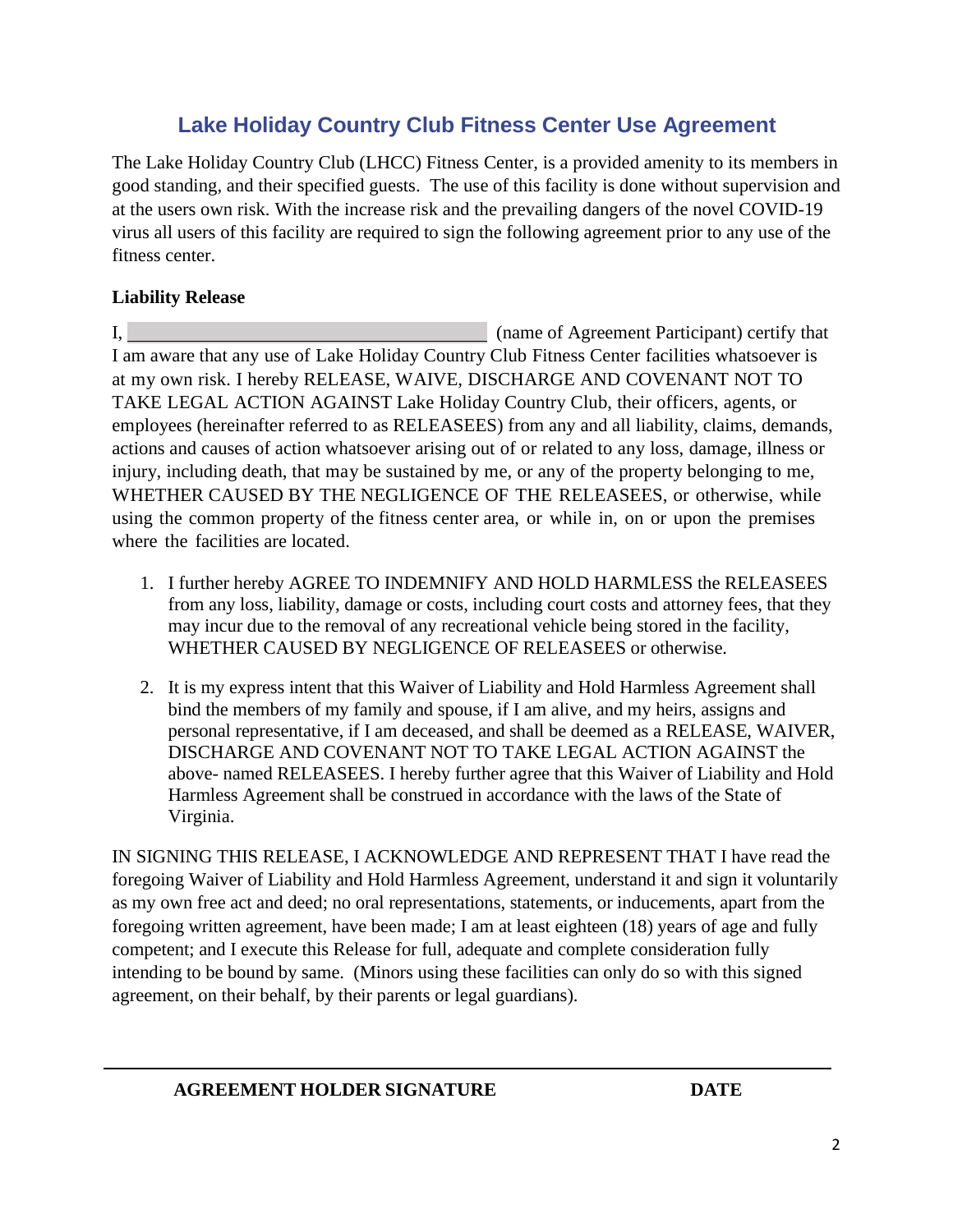## **Lake Holiday Country Club Fitness Center Use Agreement**

The Lake Holiday Country Club (LHCC) Fitness Center, is a provided amenity to its members in good standing, and their specified guests. The use of this facility is done without supervision and at the users own risk. With the increase risk and the prevailing dangers of the novel COVID-19 virus all users of this facility are required to sign the following agreement prior to any use of the fitness center.

#### **Liability Release**

I, (name of Agreement Participant) certify that I am aware that any use of Lake Holiday Country Club Fitness Center facilities whatsoever is at my own risk. I hereby RELEASE, WAIVE, DISCHARGE AND COVENANT NOT TO TAKE LEGAL ACTION AGAINST Lake Holiday Country Club, their officers, agents, or employees (hereinafter referred to as RELEASEES) from any and all liability, claims, demands, actions and causes of action whatsoever arising out of or related to any loss, damage, illness or injury, including death, that may be sustained by me, or any of the property belonging to me, WHETHER CAUSED BY THE NEGLIGENCE OF THE RELEASEES, or otherwise, while using the common property of the fitness center area, or while in, on or upon the premises where the facilities are located.

- 1. I further hereby AGREE TO INDEMNIFY AND HOLD HARMLESS the RELEASEES from any loss, liability, damage or costs, including court costs and attorney fees, that they may incur due to the removal of any recreational vehicle being stored in the facility, WHETHER CAUSED BY NEGLIGENCE OF RELEASEES or otherwise.
- 2. It is my express intent that this Waiver of Liability and Hold Harmless Agreement shall bind the members of my family and spouse, if I am alive, and my heirs, assigns and personal representative, if I am deceased, and shall be deemed as a RELEASE, WAIVER, DISCHARGE AND COVENANT NOT TO TAKE LEGAL ACTION AGAINST the above- named RELEASEES. I hereby further agree that this Waiver of Liability and Hold Harmless Agreement shall be construed in accordance with the laws of the State of Virginia.

IN SIGNING THIS RELEASE, I ACKNOWLEDGE AND REPRESENT THAT I have read the foregoing Waiver of Liability and Hold Harmless Agreement, understand it and sign it voluntarily as my own free act and deed; no oral representations, statements, or inducements, apart from the foregoing written agreement, have been made; I am at least eighteen (18) years of age and fully competent; and I execute this Release for full, adequate and complete consideration fully intending to be bound by same. (Minors using these facilities can only do so with this signed agreement, on their behalf, by their parents or legal guardians).